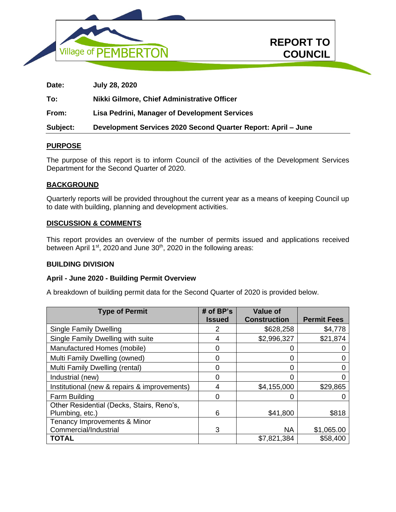



**REPORT TO**

**COUNCIL In Camera** 

# **PURPOSE**

The purpose of this report is to inform Council of the activities of the Development Services Department for the Second Quarter of 2020.

## **BACKGROUND**

Quarterly reports will be provided throughout the current year as a means of keeping Council up to date with building, planning and development activities.

## **DISCUSSION & COMMENTS**

This report provides an overview of the number of permits issued and applications received between April 1<sup>st</sup>, 2020 and June 30<sup>th</sup>, 2020 in the following areas:

#### **BUILDING DIVISION**

#### **April - June 2020 - Building Permit Overview**

A breakdown of building permit data for the Second Quarter of 2020 is provided below.

| <b>Type of Permit</b>                        | # of $BP's$   | <b>Value of</b>     |                    |
|----------------------------------------------|---------------|---------------------|--------------------|
|                                              | <b>Issued</b> | <b>Construction</b> | <b>Permit Fees</b> |
| <b>Single Family Dwelling</b>                | 2             | \$628,258           | \$4,778            |
| Single Family Dwelling with suite            | 4             | \$2,996,327         | \$21,874           |
| Manufactured Homes (mobile)                  |               |                     |                    |
| Multi Family Dwelling (owned)                | 0             | 0                   |                    |
| Multi Family Dwelling (rental)               | O             |                     |                    |
| Industrial (new)                             |               | 0                   |                    |
| Institutional (new & repairs & improvements) | 4             | \$4,155,000         | \$29,865           |
| Farm Building                                | O             |                     |                    |
| Other Residential (Decks, Stairs, Reno's,    |               |                     |                    |
| Plumbing, etc.)                              | 6             | \$41,800            | \$818              |
| Tenancy Improvements & Minor                 |               |                     |                    |
| Commercial/Industrial                        | 3             | <b>NA</b>           | \$1,065.00         |
| <b>TOTAL</b>                                 |               | \$7,821,384         | \$58,400           |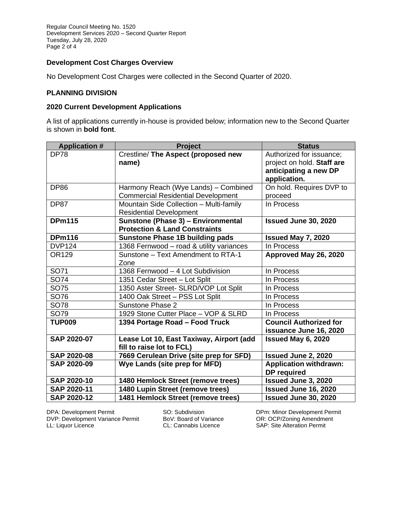# **Development Cost Charges Overview**

No Development Cost Charges were collected in the Second Quarter of 2020.

## **PLANNING DIVISION**

# **2020 Current Development Applications**

A list of applications currently in-house is provided below; information new to the Second Quarter is shown in **bold font**.

| <b>Application #</b> | <b>Project</b>                            | <b>Status</b>                 |
|----------------------|-------------------------------------------|-------------------------------|
| <b>DP78</b>          | Crestline/ The Aspect (proposed new       | Authorized for issuance;      |
|                      | name)                                     | project on hold. Staff are    |
|                      |                                           | anticipating a new DP         |
|                      |                                           | application.                  |
| <b>DP86</b>          | Harmony Reach (Wye Lands) - Combined      | On hold. Requires DVP to      |
|                      | <b>Commercial Residential Development</b> | proceed                       |
| <b>DP87</b>          | Mountain Side Collection - Multi-family   | In Process                    |
|                      | <b>Residential Development</b>            |                               |
| <b>DPm115</b>        | Sunstone (Phase 3) - Environmental        | Issued June 30, 2020          |
|                      | <b>Protection &amp; Land Constraints</b>  |                               |
| <b>DPm116</b>        | <b>Sunstone Phase 1B building pads</b>    | <b>Issued May 7, 2020</b>     |
| <b>DVP124</b>        | 1368 Fernwood - road & utility variances  | In Process                    |
| OR129                | Sunstone - Text Amendment to RTA-1        | Approved May 26, 2020         |
|                      | Zone                                      |                               |
| SO71                 | 1368 Fernwood - 4 Lot Subdivision         | In Process                    |
| <b>SO74</b>          | 1351 Cedar Street - Lot Split             | In Process                    |
| <b>SO75</b>          | 1350 Aster Street- SLRD/VOP Lot Split     | In Process                    |
| SO76                 | 1400 Oak Street - PSS Lot Split           | In Process                    |
| SO78                 | Sunstone Phase 2                          | In Process                    |
| SO79                 | 1929 Stone Cutter Place - VOP & SLRD      | In Process                    |
| <b>TUP009</b>        | 1394 Portage Road - Food Truck            | <b>Council Authorized for</b> |
|                      |                                           | issuance June 16, 2020        |
| <b>SAP 2020-07</b>   | Lease Lot 10, East Taxiway, Airport (add  | <b>Issued May 6, 2020</b>     |
|                      | fill to raise lot to FCL)                 |                               |
| <b>SAP 2020-08</b>   | 7669 Cerulean Drive (site prep for SFD)   | <b>Issued June 2, 2020</b>    |
| <b>SAP 2020-09</b>   | Wye Lands (site prep for MFD)             | <b>Application withdrawn:</b> |
|                      |                                           | <b>DP</b> required            |
| <b>SAP 2020-10</b>   | 1480 Hemlock Street (remove trees)        | <b>Issued June 3, 2020</b>    |
| SAP 2020-11          | 1480 Lupin Street (remove trees)          | Issued June 16, 2020          |
| <b>SAP 2020-12</b>   | 1481 Hemlock Street (remove trees)        | Issued June 30, 2020          |

DPA: Development Permit SO: Subdivision Bernet Chemic Minor Development Permit<br>DVP: Development Variance Permit BoV: Board of Variance OR: OCP/Zoning Amendment DVP: Development Variance Permit BoV: Board of Variance LL: Liquor Licence CL: Cannabis Licence

SAP: Site Alteration Permit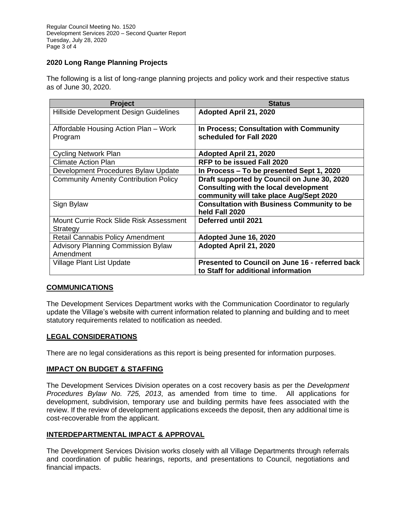# **2020 Long Range Planning Projects**

The following is a list of long-range planning projects and policy work and their respective status as of June 30, 2020.

| <b>Project</b>                               | <b>Status</b>                                     |
|----------------------------------------------|---------------------------------------------------|
| Hillside Development Design Guidelines       | Adopted April 21, 2020                            |
| Affordable Housing Action Plan – Work        | In Process; Consultation with Community           |
| Program                                      | scheduled for Fall 2020                           |
| Cycling Network Plan                         | Adopted April 21, 2020                            |
| <b>Climate Action Plan</b>                   | <b>RFP to be issued Fall 2020</b>                 |
| Development Procedures Bylaw Update          | In Process – To be presented Sept 1, 2020         |
| <b>Community Amenity Contribution Policy</b> | Draft supported by Council on June 30, 2020       |
|                                              | <b>Consulting with the local development</b>      |
|                                              | community will take place Aug/Sept 2020           |
| Sign Bylaw                                   | <b>Consultation with Business Community to be</b> |
|                                              | held Fall 2020                                    |
| Mount Currie Rock Slide Risk Assessment      | <b>Deferred until 2021</b>                        |
| Strategy                                     |                                                   |
| <b>Retail Cannabis Policy Amendment</b>      | Adopted June 16, 2020                             |
| <b>Advisory Planning Commission Bylaw</b>    | Adopted April 21, 2020                            |
| Amendment                                    |                                                   |
| Village Plant List Update                    | Presented to Council on June 16 - referred back   |
|                                              | to Staff for additional information               |

# **COMMUNICATIONS**

The Development Services Department works with the Communication Coordinator to regularly update the Village's website with current information related to planning and building and to meet statutory requirements related to notification as needed.

# **LEGAL CONSIDERATIONS**

There are no legal considerations as this report is being presented for information purposes.

## **IMPACT ON BUDGET & STAFFING**

The Development Services Division operates on a cost recovery basis as per the *Development Procedures Bylaw No. 725, 2013*, as amended from time to time. All applications for development, subdivision, temporary use and building permits have fees associated with the review. If the review of development applications exceeds the deposit, then any additional time is cost-recoverable from the applicant.

# **INTERDEPARTMENTAL IMPACT & APPROVAL**

The Development Services Division works closely with all Village Departments through referrals and coordination of public hearings, reports, and presentations to Council, negotiations and financial impacts.